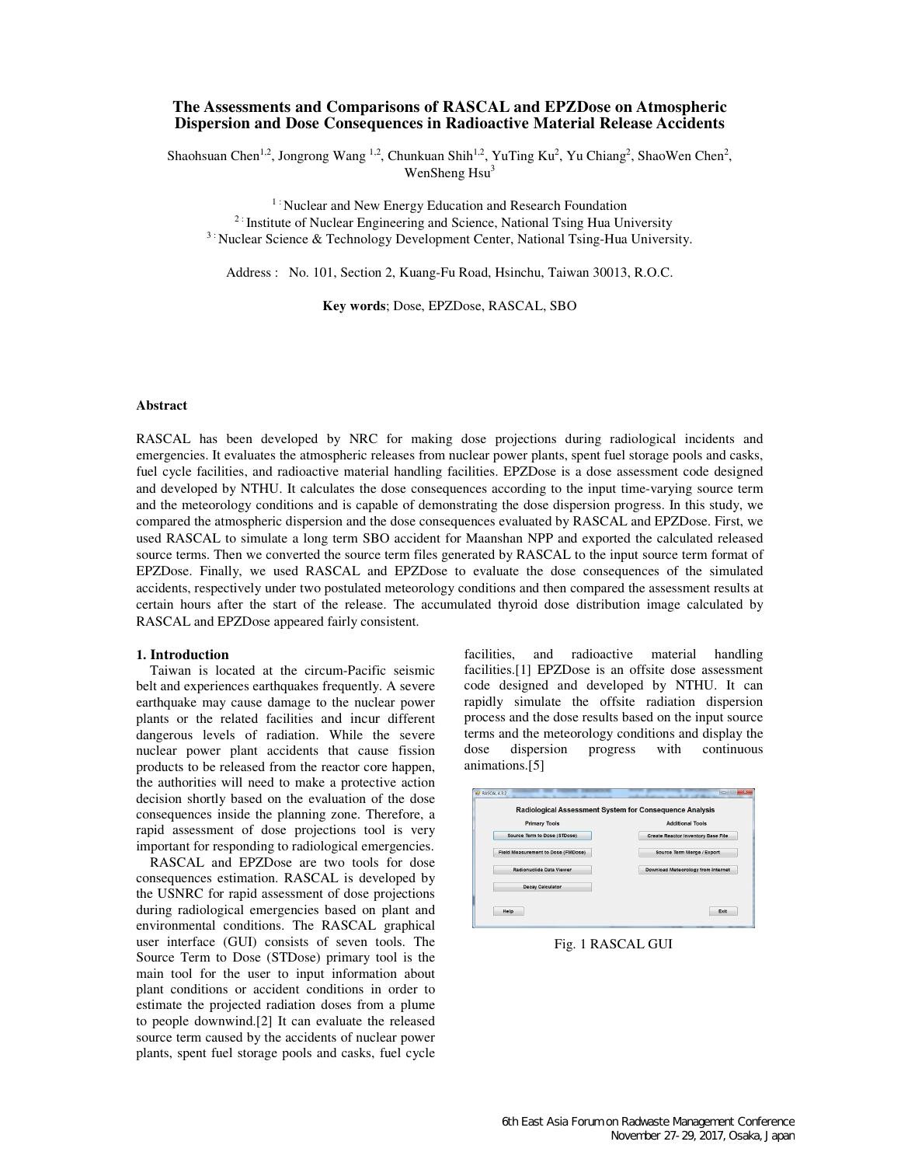# **The Assessments and Comparisons of RASCAL and EPZDose on Atmospheric Dispersion and Dose Consequences in Radioactive Material Release Accidents**

Shaohsuan Chen<sup>1,2</sup>, Jongrong Wang <sup>1,2</sup>, Chunkuan Shih<sup>1,2</sup>, YuTing Ku<sup>2</sup>, Yu Chiang<sup>2</sup>, ShaoWen Chen<sup>2</sup>, WenSheng Hsu<sup>3</sup>

<sup>1 :</sup> Nuclear and New Energy Education and Research Foundation <sup>2 :</sup> Institute of Nuclear Engineering and Science, National Tsing Hua University <sup>3:</sup> Nuclear Science & Technology Development Center, National Tsing-Hua University.

Address : No. 101, Section 2, Kuang-Fu Road, Hsinchu, Taiwan 30013, R.O.C.

**Key words**; Dose, EPZDose, RASCAL, SBO

### **Abstract**

RASCAL has been developed by NRC for making dose projections during radiological incidents and emergencies. It evaluates the atmospheric releases from nuclear power plants, spent fuel storage pools and casks, fuel cycle facilities, and radioactive material handling facilities. EPZDose is a dose assessment code designed and developed by NTHU. It calculates the dose consequences according to the input time-varying source term and the meteorology conditions and is capable of demonstrating the dose dispersion progress. In this study, we compared the atmospheric dispersion and the dose consequences evaluated by RASCAL and EPZDose. First, we used RASCAL to simulate a long term SBO accident for Maanshan NPP and exported the calculated released source terms. Then we converted the source term files generated by RASCAL to the input source term format of EPZDose. Finally, we used RASCAL and EPZDose to evaluate the dose consequences of the simulated accidents, respectively under two postulated meteorology conditions and then compared the assessment results at certain hours after the start of the release. The accumulated thyroid dose distribution image calculated by RASCAL and EPZDose appeared fairly consistent.

### **1. Introduction**

Taiwan is located at the circum-Pacific seismic belt and experiences earthquakes frequently. A severe earthquake may cause damage to the nuclear power plants or the related facilities and incur different dangerous levels of radiation. While the severe nuclear power plant accidents that cause fission products to be released from the reactor core happen, the authorities will need to make a protective action decision shortly based on the evaluation of the dose consequences inside the planning zone. Therefore, a rapid assessment of dose projections tool is very important for responding to radiological emergencies.

RASCAL and EPZDose are two tools for dose consequences estimation. RASCAL is developed by the USNRC for rapid assessment of dose projections during radiological emergencies based on plant and environmental conditions. The RASCAL graphical user interface (GUI) consists of seven tools. The Source Term to Dose (STDose) primary tool is the main tool for the user to input information about plant conditions or accident conditions in order to estimate the projected radiation doses from a plume to people downwind.[2] It can evaluate the released source term caused by the accidents of nuclear power plants, spent fuel storage pools and casks, fuel cycle facilities, and radioactive material handling facilities.[1] EPZDose is an offsite dose assessment code designed and developed by NTHU. It can rapidly simulate the offsite radiation dispersion process and the dose results based on the input source terms and the meteorology conditions and display the dose dispersion progress with continuous animations.[5]

| <b>Primary Tools</b>                      | <b>Additional Tools</b><br><b>Create Reactor Inventory Base File</b> |  |  |
|-------------------------------------------|----------------------------------------------------------------------|--|--|
| Source Term to Dose (STDose)              |                                                                      |  |  |
| <b>Field Measurement to Dose (FMDose)</b> | Source Term Merge / Export                                           |  |  |
| <b>Radionuclide Data Viewer</b>           | Download Meteorology from Internet                                   |  |  |
| <b>Decay Calculator</b>                   |                                                                      |  |  |

Fig. 1 RASCAL GUI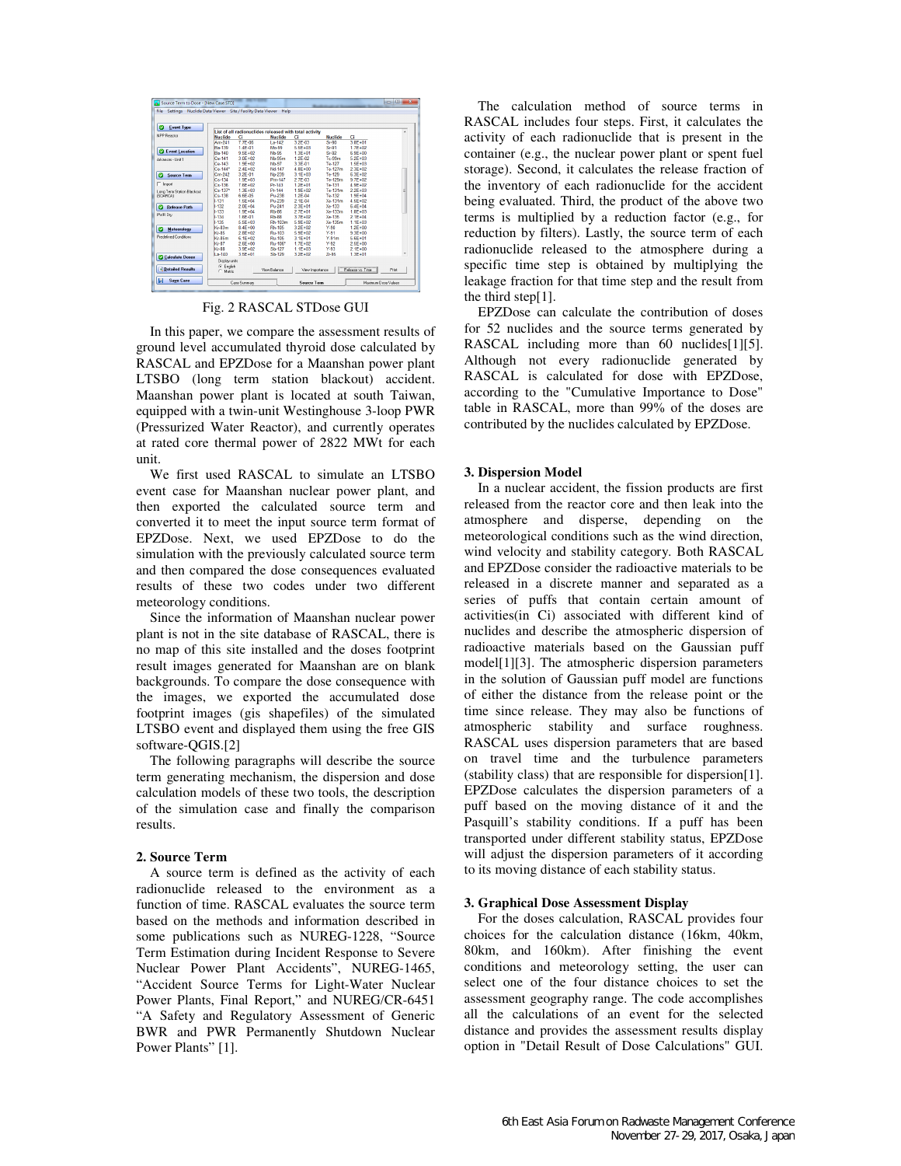| <b>Event Type</b><br>ø       |                        |              |                                                        |                 |                |                  |      |
|------------------------------|------------------------|--------------|--------------------------------------------------------|-----------------|----------------|------------------|------|
|                              |                        |              | List of all radionuclides released with total activity |                 |                |                  | ٠    |
| <b>NPP Beactor</b>           | <b>Nuclide</b>         | <b>CI</b>    | <b>Nuclide</b>                                         | CI.             | <b>Nuclide</b> | CI.              |      |
|                              | Am-241                 | 7.7F-06      | La.142                                                 | 3.2E-03         | Sr,90          | 3 8F+01          |      |
|                              | Ba-139                 | 14F-01       | Mo-99                                                  | 6.6E+03         | $Sr-91$        | $17F + 02$       |      |
| <b>2</b> Event Location      | <b>Ba-140</b>          | $9.5F + 02$  | <b>Nb-95</b>                                           | $1.3F + 01$     | Sr.92          | 6.9E+00          |      |
| Adorean - Heit 1             | $C_0.141$              | 3.0E+02      | Nb-95m                                                 | 1.2F-02         | Tr-99m         | 5.2E+03          |      |
|                              | $Ca-143$               | $1.9F + 02$  | <b>Nb-97</b>                                           | 3.3F-01         | Te-127         | $1.5F + 0.3$     |      |
|                              | Ce-144*                | $2.4E+02$    | Nd-147                                                 | $4.8E + 00$     | Te-127m        | 2.3E+02          |      |
| <b>Source Term</b><br>ø      | $Cm-242$               | 3.2E-01      | No-239                                                 | $3.1F + 03$     | Te-129         | 6.3F+02          |      |
|                              | $Cs - 134$             | $1.9F + 0.3$ | Pm-147                                                 | $27F-03$        | Te-129m        | $9.7F + 02$      |      |
| $\Gamma$ inpot               | $Cs - 136$             | $7.6E + 02$  | Pr-143                                                 | $1.2E + 01$     | Te-131         | $4.9E + 02$      |      |
| Long Term Station Blackout   | Cs-137*                | $1.3F + 0.3$ | Pr-144                                                 | 19F+02          | Te-131m        | $2.2F + 0.3$     |      |
| [SGARCA]                     | $Cs - 138$             | 6.6F-05      | Pu-238                                                 | 1.2F-04         | Te-132         | $1.9F + 0.4$     |      |
|                              | $1-131$                | $1.5E + 04$  | Pu-239                                                 | 2.1E-04         | Xe-131m        | $4.5E + 02$      |      |
| <b>Belease Path</b><br>ø     | $1-132$                | $2.0F + 04$  | Pu-241                                                 | $2.3F + 01$     | Xe-133         | 6.4F+04          |      |
|                              | 1.133                  | $1.9F + 04$  | <b>Rb-86</b>                                           | $27F + 01$      | Xe-133m        | $18F + 03$       |      |
| PWR Div                      | 1.134                  | 1.6E-01      | <b>Rb</b> 88                                           | $3.7E + 02$     | Xe-135         | 2.1F+04          |      |
|                              | 1-135                  | 6.6E+03      | Rh-103m                                                | 5.9E+02         | Xe-135m        | $11F + 03$       |      |
| <b>Meteorology</b>           | $Kr-83m$               | $8.4E + 00$  | Rh-105                                                 | $3.2F + 02$     | $Y-90$         | $1.2F + 0.0$     |      |
| ø                            | Kr-85                  | $2.8E + 02$  | Ru-103                                                 | $5.9E + 02$     | Y-91           | $9.3E + 00$      |      |
| <b>Predefined Conditions</b> | <b>Kr-85m</b>          | 6.1E+02      | Ru-105                                                 | $3.1F + 01$     | Y-91m          | 6.6E+01          |      |
|                              | $Kr-87$                | $2.6E + 00$  | Ru-106*                                                | $1.7E + 02$     | $Y-92$         | 2.5E+00          |      |
|                              | $Kt$ 88                | 3.9E+02      | Sb-127                                                 | $11F + 03$      | Y-93           | $2.1F + 00$      |      |
|                              | $1a - 140$             | 3 5F+01      | Sb-129                                                 | $3.2F + 02$     | 7695           | $1.3F + 01$      |      |
| <b>Calculate Doses</b>       | Display units          |              |                                                        |                 |                |                  |      |
|                              |                        |              |                                                        |                 |                |                  |      |
| <b>C</b> Detailed Results    | G English<br>C. Metric |              | View Balance                                           | View Importance |                | Release vs. Time | Pint |

### Fig. 2 RASCAL STDose GUI

In this paper, we compare the assessment results of ground level accumulated thyroid dose calculated by RASCAL and EPZDose for a Maanshan power plant LTSBO (long term station blackout) accident. Maanshan power plant is located at south Taiwan, equipped with a twin-unit Westinghouse 3-loop PWR (Pressurized Water Reactor), and currently operates at rated core thermal power of 2822 MWt for each unit.

We first used RASCAL to simulate an LTSBO event case for Maanshan nuclear power plant, and then exported the calculated source term and converted it to meet the input source term format of EPZDose. Next, we used EPZDose to do the simulation with the previously calculated source term and then compared the dose consequences evaluated results of these two codes under two different meteorology conditions.

Since the information of Maanshan nuclear power plant is not in the site database of RASCAL, there is no map of this site installed and the doses footprint result images generated for Maanshan are on blank backgrounds. To compare the dose consequence with the images, we exported the accumulated dose footprint images (gis shapefiles) of the simulated LTSBO event and displayed them using the free GIS software-QGIS.[2]

The following paragraphs will describe the source term generating mechanism, the dispersion and dose calculation models of these two tools, the description of the simulation case and finally the comparison results.

#### **2. Source Term**

A source term is defined as the activity of each radionuclide released to the environment as a function of time. RASCAL evaluates the source term based on the methods and information described in some publications such as NUREG-1228, "Source Term Estimation during Incident Response to Severe Nuclear Power Plant Accidents", NUREG-1465, "Accident Source Terms for Light-Water Nuclear Power Plants, Final Report," and NUREG/CR-6451 "A Safety and Regulatory Assessment of Generic BWR and PWR Permanently Shutdown Nuclear Power Plants" [1].

The calculation method of source terms in RASCAL includes four steps. First, it calculates the activity of each radionuclide that is present in the container (e.g., the nuclear power plant or spent fuel storage). Second, it calculates the release fraction of the inventory of each radionuclide for the accident being evaluated. Third, the product of the above two terms is multiplied by a reduction factor (e.g., for reduction by filters). Lastly, the source term of each radionuclide released to the atmosphere during a specific time step is obtained by multiplying the leakage fraction for that time step and the result from the third step[1].

EPZDose can calculate the contribution of doses for 52 nuclides and the source terms generated by RASCAL including more than 60 nuclides[1][5]. Although not every radionuclide generated by RASCAL is calculated for dose with EPZDose, according to the "Cumulative Importance to Dose" table in RASCAL, more than 99% of the doses are contributed by the nuclides calculated by EPZDose.

#### **3. Dispersion Model**

In a nuclear accident, the fission products are first released from the reactor core and then leak into the atmosphere and disperse, depending on the meteorological conditions such as the wind direction, wind velocity and stability category. Both RASCAL and EPZDose consider the radioactive materials to be released in a discrete manner and separated as a series of puffs that contain certain amount of activities(in Ci) associated with different kind of nuclides and describe the atmospheric dispersion of radioactive materials based on the Gaussian puff model[1][3]. The atmospheric dispersion parameters in the solution of Gaussian puff model are functions of either the distance from the release point or the time since release. They may also be functions of atmospheric stability and surface roughness. RASCAL uses dispersion parameters that are based on travel time and the turbulence parameters (stability class) that are responsible for dispersion[1]. EPZDose calculates the dispersion parameters of a puff based on the moving distance of it and the Pasquill's stability conditions. If a puff has been transported under different stability status, EPZDose will adjust the dispersion parameters of it according to its moving distance of each stability status.

#### **3. Graphical Dose Assessment Display**

For the doses calculation, RASCAL provides four choices for the calculation distance (16km, 40km, 80km, and 160km). After finishing the event conditions and meteorology setting, the user can select one of the four distance choices to set the assessment geography range. The code accomplishes all the calculations of an event for the selected distance and provides the assessment results display option in "Detail Result of Dose Calculations" GUI.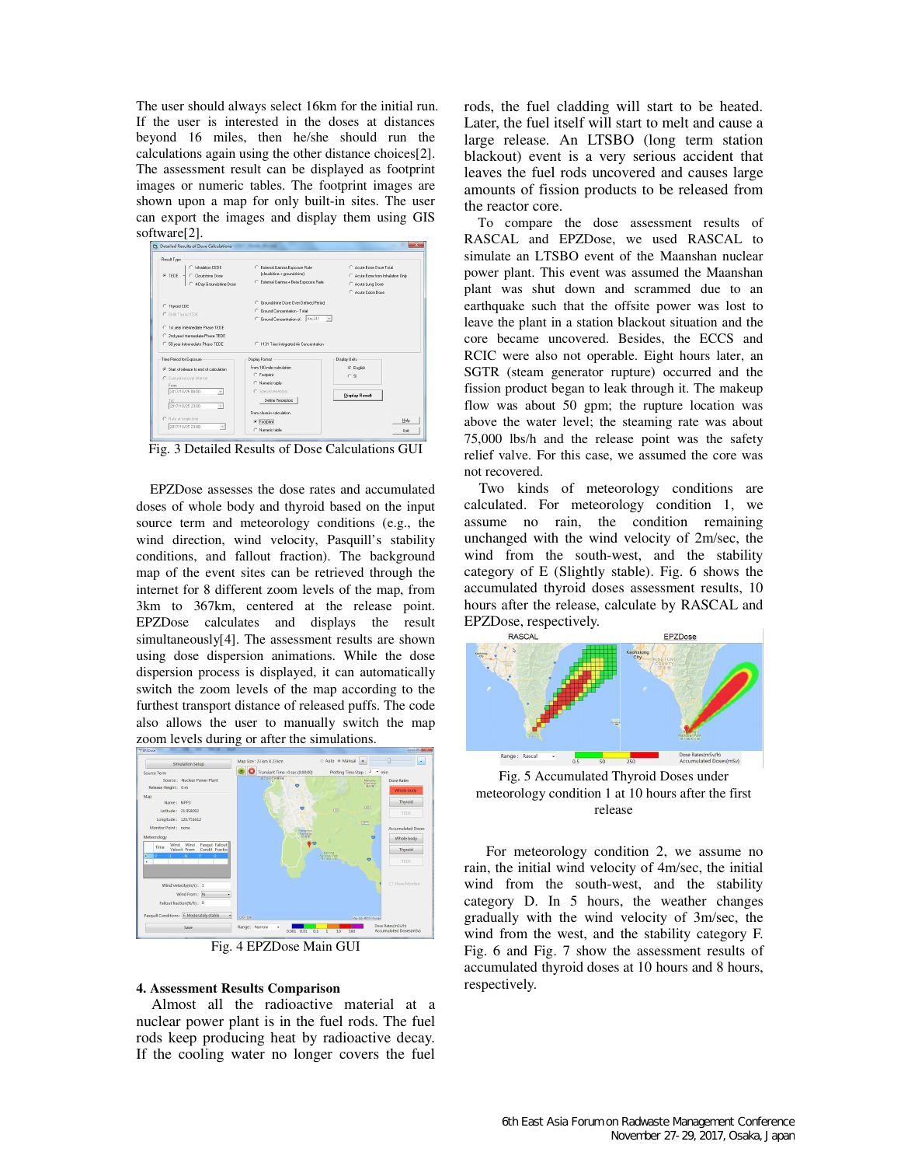The user should always select 16km for the initial run. If the user is interested in the doses at distances beyond 16 miles, then he/she should run the calculations again using the other distance choices[2]. The assessment result can be displayed as footprint images or numeric tables. The footprint images are shown upon a map for only built-in sites. The user can export the images and display them using GIS software[2].



Fig. 3 Detailed Results of Dose Calculations GUI

EPZDose assesses the dose rates and accumulated doses of whole body and thyroid based on the input source term and meteorology conditions (e.g., the wind direction, wind velocity, Pasquill's stability conditions, and fallout fraction). The background map of the event sites can be retrieved through the internet for 8 different zoom levels of the map, from 3km to 367km, centered at the release point. EPZDose calculates and displays the result simultaneously[4]. The assessment results are shown using dose dispersion animations. While the dose dispersion process is displayed, it can automatically switch the zoom levels of the map according to the furthest transport distance of released puffs. The code also allows the user to manually switch the map zoom levels during or after the simulations.



Fig. 4 EPZDose Main GUI

# **4. Assessment Results Comparison**

Almost all the radioactive material at a nuclear power plant is in the fuel rods. The fuel rods keep producing heat by radioactive decay. If the cooling water no longer covers the fuel

rods, the fuel cladding will start to be heated. Later, the fuel itself will start to melt and cause a large release. An LTSBO (long term station blackout) event is a very serious accident that leaves the fuel rods uncovered and causes large amounts of fission products to be released from the reactor core.

To compare the dose assessment results of RASCAL and EPZDose, we used RASCAL to simulate an LTSBO event of the Maanshan nuclear power plant. This event was assumed the Maanshan plant was shut down and scrammed due to an earthquake such that the offsite power was lost to leave the plant in a station blackout situation and the core became uncovered. Besides, the ECCS and RCIC were also not operable. Eight hours later, an SGTR (steam generator rupture) occurred and the fission product began to leak through it. The makeup flow was about 50 gpm; the rupture location was above the water level; the steaming rate was about 75,000 lbs/h and the release point was the safety relief valve. For this case, we assumed the core was not recovered.

Two kinds of meteorology conditions are calculated. For meteorology condition 1, we assume no rain, the condition remaining unchanged with the wind velocity of 2m/sec, the wind from the south-west, and the stability category of E (Slightly stable). Fig. 6 shows the accumulated thyroid doses assessment results, 10 hours after the release, calculate by RASCAL and EPZDose, respectively.



meteorology condition 1 at 10 hours after the first release

 For meteorology condition 2, we assume no rain, the initial wind velocity of 4m/sec, the initial wind from the south-west, and the stability category D. In 5 hours, the weather changes gradually with the wind velocity of 3m/sec, the wind from the west, and the stability category F. Fig. 6 and Fig. 7 show the assessment results of accumulated thyroid doses at 10 hours and 8 hours, respectively.